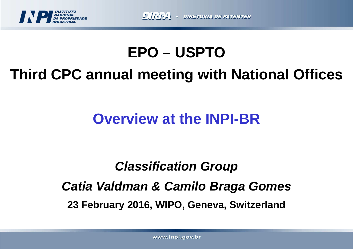

# **EPO – USPTO**

# **Third CPC annual meeting with National Offices**

## **Overview at the INPI-BR**

# **Classification GroupCatia Valdman & Camilo Braga Gomes23 February 2016, WIPO, Geneva, Switzerland**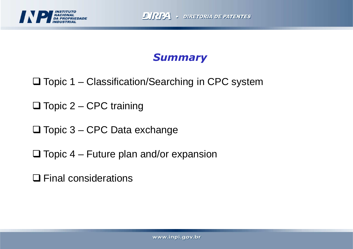

### **Summary**

- □ Topic 1 Classification/Searching in CPC system
- □ Topic 2 CPC training
- □ Topic 3 CPC Data exchange
- $\Box$  Topic 4 Future plan and/or expansion
- **□ Final considerations**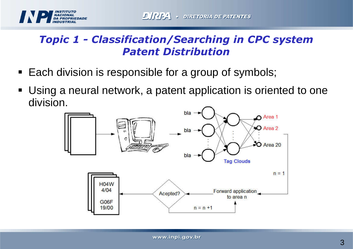

## Topic 1 - Classification/Searching in CPC systemPatent Distribution

- $\textcolor{red}{\bullet}$  Each division is responsible for a group of symbols;
- Using a neural network, a patent application is oriented to one division.

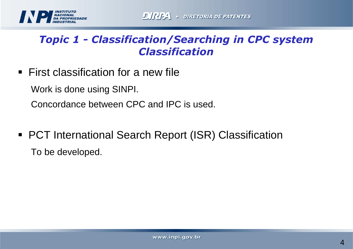

### Topic 1 - Classification/Searching in CPC systemClassification

 $\blacksquare$  First classification for a new file

Work is done using SINPI.

Concordance between CPC and IPC is used.

■ PCT International Search Report (ISR) Classification To be developed.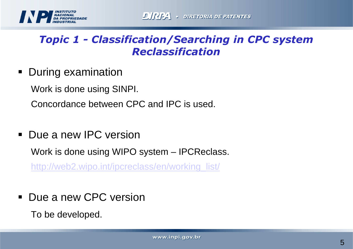

### Topic 1 - Classification/Searching in CPC systemReclassification

■ During examination

Work is done using SINPI.

Concordance between CPC and IPC is used.

■ Due a new IPC version

Work is done using WIPO system – IPCReclass.

http://web2.wipo.int/ipcreclass/en/working\_list/

■ Due a new CPC version

To be developed.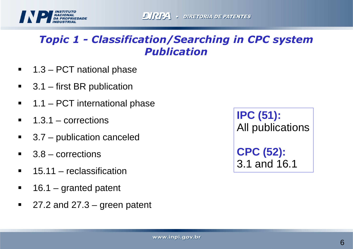

### Topic 1 - Classification/Searching in CPC systemPublication

- $\blacksquare$ 1.3 – PCT national phase
- $\blacksquare$ 3.1 – first BR publication
- $\blacksquare$ 1.1 – PCT international phase
- $\blacksquare$ 1.3.1 – corrections
- 3.7 publication canceled
- $\blacksquare$ 3.8 – corrections
- П 15.11 – reclassification
- $\blacksquare$ 16.1 – granted patent
- $\blacksquare$ 27.2 and 27.3 – green patent

**IPC (51):** All publications**CPC (52):**3.1 and 16.1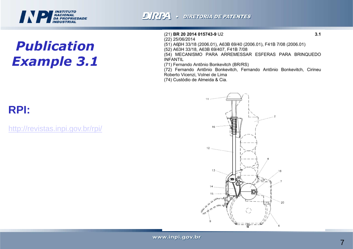## **INSTITUTO<br>NACIONAL<br>DA PROPRIEDADE<br>INDUSTRIAL**

## PublicationExample 3.1

#### (21) BR 20 2014 015743-9 U2

 $(22)$  25/06/2014

(51) A68H 33/18 (2006.01), A63B 69/40 (2006.01), F41B 7/08 (2006.01)

(52) A63H 33/18, A63B 69/407, F41B 7/08

(54) MECANISMO PARA ARREMESSAR ESFERAS PARA BRINQUEDO **INFANTIL** 

(71) Fernando Antônio Bonkevitch (BR/RS)

(72) Fernando Antônio Bonkevitch, Fernando Antônio Bonkevitch, Cirineu Roberto Vicenzi, Volnei de Lima

(74) Custódio de Almeida & Cia.

## **RPI:**

http://revistas.inpi.gov.br/rpi/

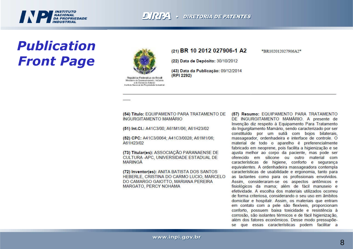## **INSTITUTO<br>NACIONAL<br>DA PROPRIEDADE**

## PublicationFront Page



República Federativa do Brasil Ministério do Desenvolvimento, Indústria a de Comércio Estudor Instituto Nacional da Propriedade Industrial

#### (21) BR 10 2012 027906-1 A2

\*BR102012027906A2\*

(22) Data de Depósito: 30/10/2012

(43) Data da Publicação: 09/12/2014 (RPI 2292)

#### (54) Título: EQUIPAMENTO PARA TRATAMENTO DE **INGURGITAMENTO MAMÁRIO**

(51) Int.Cl.: A41C3/00; A61M1/06; A61H23/02

(52) CPC: A41C3/0064; A41C3/0028; A61M1/06; A61H23/02

(73) Titular(es): ASSOCIAÇÃO PARANAENSE DE CULTURA - APC, UNIVERSIDADE ESTADUAL DE **MARINGÁ** 

(72) Inventor(es): ANITA BATISTA DOS SANTOS HEBERLE, CRISTINA DO CARMO LUCIO, MARCELO DO CAMARGO GAIOTTO, MARIANA PEREIRA MARGATO, PERCY NOHAMA

(57) Resumo: EQUIPAMENTO PARA TRATAMENTO DE INGURGITAMENTO MAMÁRIO. A presente de Invenção diz respeito à Equipamento Para Tratamento do Ingurgitamento Mamário, sendo caracterizado por ser constituído por um sutiã com bojos bilaterais, massageador, ordenhadeira e interface de controle. O material de todo o aparelho é preferencialmente fabricado em neoprene, pois facilita a higienização e se ajusta melhor ao corpo da paciente, mas pode ser oferecido em silicone ou outro material com características de higiene, conforto e segurança equivalentes. A ordenhadeira massageadora contempla características de usabilidade e ergonomia, tanto para as lactantes como para os profissionais envolvidos. Assim, consideraram-se os aspectos antômicos e fisiológicos da mama; além de fácil manuseio e efetividade. A escolha dos materiais utilizados ocorreu de forma criteriosa, considerando o seu uso em âmbitos domiciliar e hospitalr. Assim, os materiais que entram em contato com a pele são flexíveis, proporcionam conforto, possuem baixa toxicidade e resistência à corrosão, são isolantes térmicos e de fácil higienização, além dos fatores econômicos. Desse modo pressupõese que essas características podem facilitar a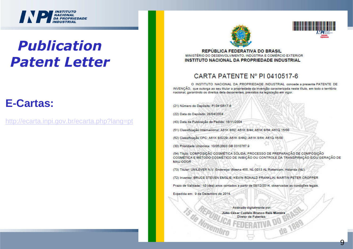## **INSTITUTO<br>NACIONAL<br>DA PROPRIEDADE<br>INDUSTRIAL**

## PublicationPatent Letter

#### **E-Cartas:**

http://ecarta.inpi.gov.br/ecarta.php?lang=pt





**REPÚBLICA FEDERATIVA DO BRASIL** MINISTÉRIO DO DESENVOLVIMENTO, INDÚSTRIA E COMÉRCIO EXTERIOR **INSTITUTO NACIONAL DA PROPRIEDADE INDUSTRIAL** 

#### CARTA PATENTE Nº PI 0410517-6

O INSTITUTO NACIONAL DA PROPRIEDADE INDUSTRIAL concede a presente PATENTE DE INVENCÃO, que outorga ao seu titular a propriedade da invenção caracterizada neste título, em todo o território nacional, garantindo os direitos dela decorrentes, previstos na legislação em vigor.

(21) Número do Depósito: PI 0410517-6

(22) Data do Depósito: 28/04/2004

(43) Data da Publicação do Pedido: 18/11/2004

(51) Classificação Internacional: A61K 8/02; A61K 8/44; A61K 8/64; A61Q 15/00

(52) Classificação CPC; A61K 8/0229; A61K 8/442; A61K 8/64; A61Q 15/00

(30) Prioridade Unionista: 10/05/2003 GB 0310767.9

(54) Título: COMPOSIÇÃO COSMÉTICA SÓLIDA, PROCESSO DE PREPARAÇÃO DE COMPOSIÇÃO COSMÉTICA E MÉTODO COSMÉTICO DE INIBIÇÃO OU CONTROLE DA TRANSPIRAÇÃO E/OU GERAÇÃO DE **MAU ODOR** 

(73) Titular: UNILEVER N.V. Endereço: Weena 455, NL-3013 AL Rotterdam, Holanda (NL).

(72) Inventor: BRUCE STEVEN EMSLIE; KEVIN RONALD FRANKLIN; MARTIN PETER CROPPER

Prazo de Validade: 10 (dez) anos contados a partir de 09/12/2014, observadas as condições legais.

Expedida em: 9 de Dezembro de 2014.

Assinado digitalmente por:

Júlio César Castelo Branco Reis Moreira Diretor de Patentes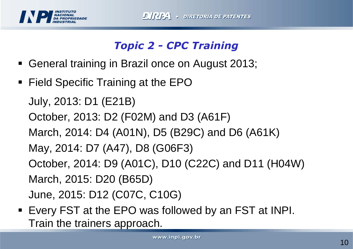

## Topic 2 - CPC Training

- General training in Brazil once on August 2013;
- Field Specific Training at the EPO

```
July, 2013: D1 (E21B)
```

```
October, 2013: D2 (F02M) and D3 (A61F)
```
March, 2014: D4 (A01N), D5 (B29C) and D6 (A61K)

```
May, 2014: D7 (A47), D8 (G06F3)
```
October, 2014: D9 (A01C), D10 (C22C) and D11 (H04W)March, 2015: D20 (B65D)

June, 2015: D12 (C07C, C10G)

■ Every FST at the EPO was followed by an FST at INPI. Train the trainers approach.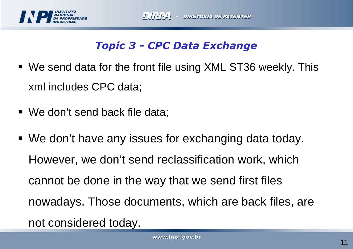

## Topic 3 - CPC Data Exchange

- We send data for the front file using XML ST36 weekly. This xml includes CPC data;
- We don't send back file data;
- We don't have any issues for exchanging data today. However, we don't send reclassification work, whichcannot be done in the way that we send first files nowadays. Those documents, which are back files, are not considered today.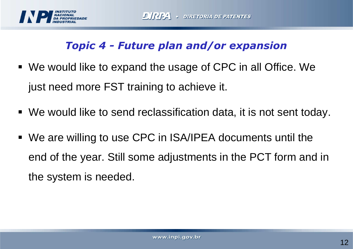

## Topic 4 - Future plan and/or expansion

- We would like to expand the usage of CPC in all Office. We just need more FST training to achieve it.
- We would like to send reclassification data, it is not sent today.
- We are willing to use CPC in ISA/IPEA documents until the end of the year. Still some adjustments in the PCT form and in the system is needed.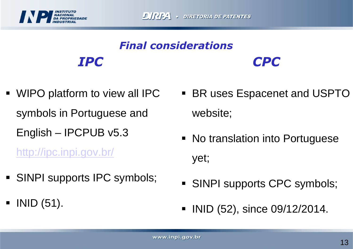

#### IPCCPCFinal considerations

 WIPO platform to view all IPC symbols in Portuguese and English – IPCPUB v5.3

http://ipc.inpi.gov.br/

- SINPI supports IPC symbols;
- $\blacksquare$  INID (51).
- BR uses Espacenet and USPTO website;
- No translation into Portuguese yet;
- SINPI supports CPC symbols;
- INID (52), since 09/12/2014.